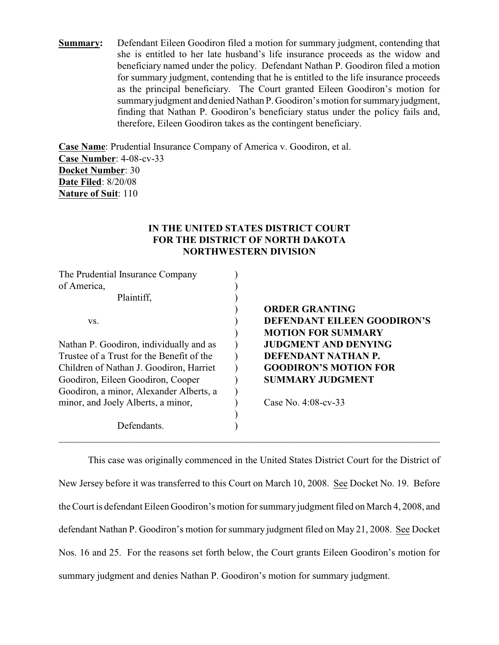**Summary:** Defendant Eileen Goodiron filed a motion for summary judgment, contending that she is entitled to her late husband's life insurance proceeds as the widow and beneficiary named under the policy. Defendant Nathan P. Goodiron filed a motion for summary judgment, contending that he is entitled to the life insurance proceeds as the principal beneficiary. The Court granted Eileen Goodiron's motion for summary judgment and denied Nathan P. Goodiron's motion for summary judgment, finding that Nathan P. Goodiron's beneficiary status under the policy fails and, therefore, Eileen Goodiron takes as the contingent beneficiary.

**Case Name**: Prudential Insurance Company of America v. Goodiron, et al. **Case Number**: 4-08-cv-33 **Docket Number**: 30 **Date Filed**: 8/20/08 **Nature of Suit**: 110

# **IN THE UNITED STATES DISTRICT COURT FOR THE DISTRICT OF NORTH DAKOTA NORTHWESTERN DIVISION**

| The Prudential Insurance Company          |                              |
|-------------------------------------------|------------------------------|
| of America,                               |                              |
| Plaintiff,                                |                              |
|                                           | <b>ORDER GRANTING</b>        |
| VS.                                       | DEFENDANT EILEEN GOODIRON'S  |
|                                           | <b>MOTION FOR SUMMARY</b>    |
| Nathan P. Goodiron, individually and as   | <b>JUDGMENT AND DENYING</b>  |
| Trustee of a Trust for the Benefit of the | DEFENDANT NATHAN P.          |
| Children of Nathan J. Goodiron, Harriet   | <b>GOODIRON'S MOTION FOR</b> |
| Goodiron, Eileen Goodiron, Cooper         | <b>SUMMARY JUDGMENT</b>      |
| Goodiron, a minor, Alexander Alberts, a   |                              |
| minor, and Joely Alberts, a minor,        | Case No. $4:08$ -cv-33       |
|                                           |                              |
| Defendants.                               |                              |
|                                           |                              |

This case was originally commenced in the United States District Court for the District of New Jersey before it was transferred to this Court on March 10, 2008. See Docket No. 19. Before the Court is defendant Eileen Goodiron's motion for summary judgment filed on March 4, 2008, and defendant Nathan P. Goodiron's motion for summary judgment filed on May 21, 2008. See Docket Nos. 16 and 25. For the reasons set forth below, the Court grants Eileen Goodiron's motion for summary judgment and denies Nathan P. Goodiron's motion for summary judgment.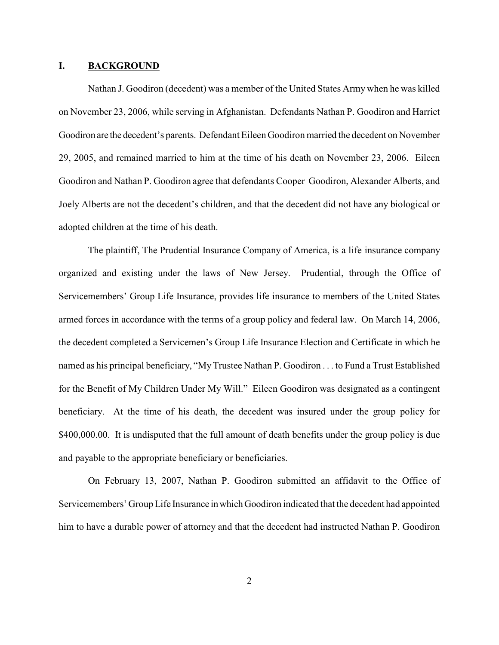#### **I. BACKGROUND**

Nathan J. Goodiron (decedent) was a member of the United States Army when he was killed on November 23, 2006, while serving in Afghanistan. Defendants Nathan P. Goodiron and Harriet Goodiron are the decedent's parents. Defendant Eileen Goodiron married the decedent on November 29, 2005, and remained married to him at the time of his death on November 23, 2006. Eileen Goodiron and Nathan P. Goodiron agree that defendants Cooper Goodiron, Alexander Alberts, and Joely Alberts are not the decedent's children, and that the decedent did not have any biological or adopted children at the time of his death.

The plaintiff, The Prudential Insurance Company of America, is a life insurance company organized and existing under the laws of New Jersey. Prudential, through the Office of Servicemembers' Group Life Insurance, provides life insurance to members of the United States armed forces in accordance with the terms of a group policy and federal law. On March 14, 2006, the decedent completed a Servicemen's Group Life Insurance Election and Certificate in which he named as his principal beneficiary, "MyTrustee Nathan P. Goodiron . . . to Fund a Trust Established for the Benefit of My Children Under My Will." Eileen Goodiron was designated as a contingent beneficiary. At the time of his death, the decedent was insured under the group policy for \$400,000.00. It is undisputed that the full amount of death benefits under the group policy is due and payable to the appropriate beneficiary or beneficiaries.

On February 13, 2007, Nathan P. Goodiron submitted an affidavit to the Office of Servicemembers' Group Life Insurance in which Goodiron indicated that the decedent had appointed him to have a durable power of attorney and that the decedent had instructed Nathan P. Goodiron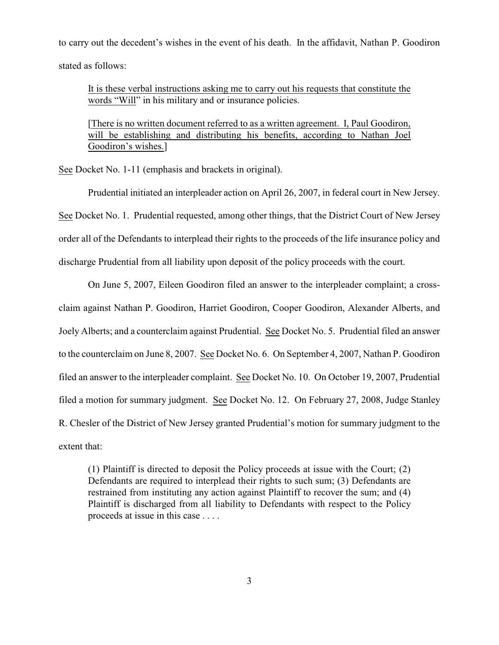to carry out the decedent's wishes in the event of his death. In the affidavit, Nathan P. Goodiron stated as follows:

It is these verbal instructions asking me to carry out his requests that constitute the words "Will" in his military and or insurance policies.

[There is no written document referred to as a written agreement. I, Paul Goodiron, will be establishing and distributing his benefits, according to Nathan Joel Goodiron's wishes.]

See Docket No. 1-11 (emphasis and brackets in original).

Prudential initiated an interpleader action on April 26, 2007, in federal court in New Jersey. See Docket No. 1. Prudential requested, among other things, that the District Court of New Jersey order all of the Defendants to interplead their rights to the proceeds of the life insurance policy and discharge Prudential from all liability upon deposit of the policy proceeds with the court.

On June 5, 2007, Eileen Goodiron filed an answer to the interpleader complaint; a crossclaim against Nathan P. Goodiron, Harriet Goodiron, Cooper Goodiron, Alexander Alberts, and Joely Alberts; and a counterclaim against Prudential. See Docket No. 5. Prudential filed an answer to the counterclaim on June 8, 2007. See Docket No. 6. On September 4, 2007, Nathan P. Goodiron filed an answer to the interpleader complaint. See Docket No. 10. On October 19, 2007, Prudential filed a motion for summary judgment. See Docket No. 12. On February 27, 2008, Judge Stanley R. Chesler of the District of New Jersey granted Prudential's motion for summary judgment to the extent that:

(1) Plaintiff is directed to deposit the Policy proceeds at issue with the Court; (2) Defendants are required to interplead their rights to such sum; (3) Defendants are restrained from instituting any action against Plaintiff to recover the sum; and (4) Plaintiff is discharged from all liability to Defendants with respect to the Policy proceeds at issue in this case . . . .

3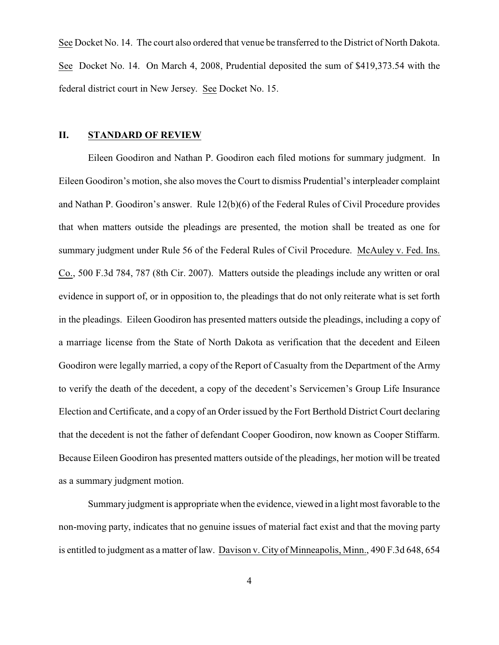See Docket No. 14. The court also ordered that venue be transferred to the District of North Dakota. See Docket No. 14. On March 4, 2008, Prudential deposited the sum of \$419,373.54 with the federal district court in New Jersey. See Docket No. 15.

## **II. STANDARD OF REVIEW**

Eileen Goodiron and Nathan P. Goodiron each filed motions for summary judgment. In Eileen Goodiron's motion, she also moves the Court to dismiss Prudential's interpleader complaint and Nathan P. Goodiron's answer. Rule 12(b)(6) of the Federal Rules of Civil Procedure provides that when matters outside the pleadings are presented, the motion shall be treated as one for summary judgment under Rule 56 of the Federal Rules of Civil Procedure. McAuley v. Fed. Ins. Co., 500 F.3d 784, 787 (8th Cir. 2007). Matters outside the pleadings include any written or oral evidence in support of, or in opposition to, the pleadings that do not only reiterate what is set forth in the pleadings. Eileen Goodiron has presented matters outside the pleadings, including a copy of a marriage license from the State of North Dakota as verification that the decedent and Eileen Goodiron were legally married, a copy of the Report of Casualty from the Department of the Army to verify the death of the decedent, a copy of the decedent's Servicemen's Group Life Insurance Election and Certificate, and a copy of an Order issued by the Fort Berthold District Court declaring that the decedent is not the father of defendant Cooper Goodiron, now known as Cooper Stiffarm. Because Eileen Goodiron has presented matters outside of the pleadings, her motion will be treated as a summary judgment motion.

Summary judgment is appropriate when the evidence, viewed in a light most favorable to the non-moving party, indicates that no genuine issues of material fact exist and that the moving party is entitled to judgment as a matter of law. Davison v. City of Minneapolis, Minn., 490 F.3d 648, 654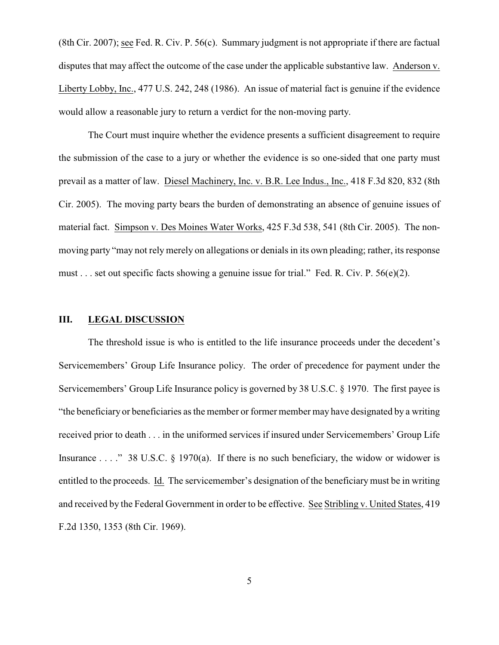(8th Cir. 2007); see Fed. R. Civ. P. 56(c). Summary judgment is not appropriate if there are factual disputes that may affect the outcome of the case under the applicable substantive law. Anderson v. Liberty Lobby, Inc., 477 U.S. 242, 248 (1986). An issue of material fact is genuine if the evidence would allow a reasonable jury to return a verdict for the non-moving party.

The Court must inquire whether the evidence presents a sufficient disagreement to require the submission of the case to a jury or whether the evidence is so one-sided that one party must prevail as a matter of law. Diesel Machinery, Inc. v. B.R. Lee Indus., Inc., 418 F.3d 820, 832 (8th Cir. 2005). The moving party bears the burden of demonstrating an absence of genuine issues of material fact. Simpson v. Des Moines Water Works, 425 F.3d 538, 541 (8th Cir. 2005). The nonmoving party "may not rely merely on allegations or denials in its own pleading; rather, its response must . . . set out specific facts showing a genuine issue for trial." Fed. R. Civ. P. 56(e)(2).

## **III. LEGAL DISCUSSION**

The threshold issue is who is entitled to the life insurance proceeds under the decedent's Servicemembers' Group Life Insurance policy. The order of precedence for payment under the Servicemembers' Group Life Insurance policy is governed by 38 U.S.C. § 1970. The first payee is "the beneficiary or beneficiaries as the member or former member may have designated by a writing received prior to death . . . in the uniformed services if insured under Servicemembers' Group Life Insurance . . . ." 38 U.S.C.  $\&$  1970(a). If there is no such beneficiary, the widow or widower is entitled to the proceeds. Id. The servicemember's designation of the beneficiary must be in writing and received by the Federal Government in order to be effective. See Stribling v. United States, 419 F.2d 1350, 1353 (8th Cir. 1969).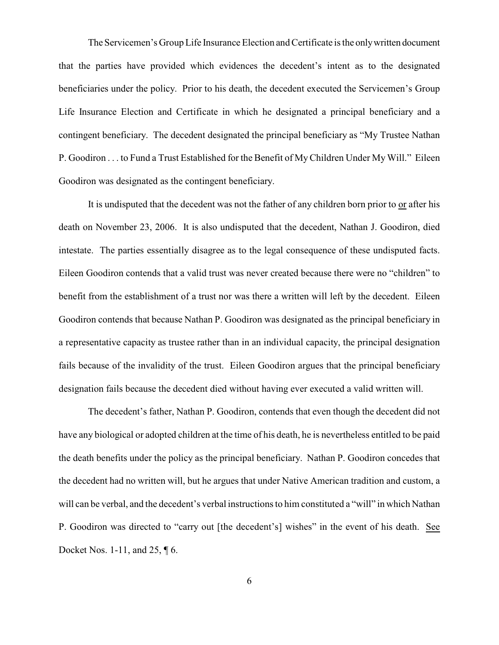The Servicemen's Group Life Insurance Election and Certificate is the only written document that the parties have provided which evidences the decedent's intent as to the designated beneficiaries under the policy. Prior to his death, the decedent executed the Servicemen's Group Life Insurance Election and Certificate in which he designated a principal beneficiary and a contingent beneficiary. The decedent designated the principal beneficiary as "My Trustee Nathan P. Goodiron . . . to Fund a Trust Established for the Benefit of MyChildren Under My Will." Eileen Goodiron was designated as the contingent beneficiary.

It is undisputed that the decedent was not the father of any children born prior to or after his death on November 23, 2006. It is also undisputed that the decedent, Nathan J. Goodiron, died intestate. The parties essentially disagree as to the legal consequence of these undisputed facts. Eileen Goodiron contends that a valid trust was never created because there were no "children" to benefit from the establishment of a trust nor was there a written will left by the decedent. Eileen Goodiron contends that because Nathan P. Goodiron was designated as the principal beneficiary in a representative capacity as trustee rather than in an individual capacity, the principal designation fails because of the invalidity of the trust. Eileen Goodiron argues that the principal beneficiary designation fails because the decedent died without having ever executed a valid written will.

The decedent's father, Nathan P. Goodiron, contends that even though the decedent did not have any biological or adopted children at the time of his death, he is nevertheless entitled to be paid the death benefits under the policy as the principal beneficiary. Nathan P. Goodiron concedes that the decedent had no written will, but he argues that under Native American tradition and custom, a will can be verbal, and the decedent's verbal instructions to him constituted a "will" in which Nathan P. Goodiron was directed to "carry out [the decedent's] wishes" in the event of his death. See Docket Nos. 1-11, and 25, ¶ 6.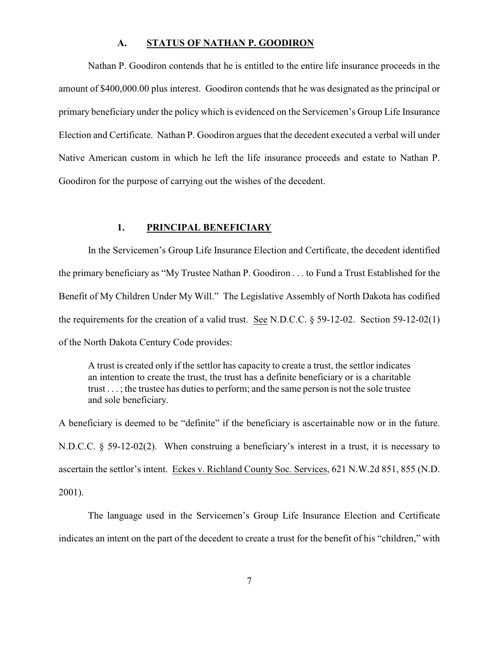#### **A. STATUS OF NATHAN P. GOODIRON**

Nathan P. Goodiron contends that he is entitled to the entire life insurance proceeds in the amount of \$400,000.00 plus interest. Goodiron contends that he was designated as the principal or primary beneficiary under the policy which is evidenced on the Servicemen's Group Life Insurance Election and Certificate. Nathan P. Goodiron argues that the decedent executed a verbal will under Native American custom in which he left the life insurance proceeds and estate to Nathan P. Goodiron for the purpose of carrying out the wishes of the decedent.

#### **1. PRINCIPAL BENEFICIARY**

In the Servicemen's Group Life Insurance Election and Certificate, the decedent identified the primary beneficiary as "My Trustee Nathan P. Goodiron . . . to Fund a Trust Established for the Benefit of My Children Under My Will." The Legislative Assembly of North Dakota has codified the requirements for the creation of a valid trust. See N.D.C.C. § 59-12-02. Section 59-12-02(1) of the North Dakota Century Code provides:

A trust is created only if the settlor has capacity to create a trust, the settlor indicates an intention to create the trust, the trust has a definite beneficiary or is a charitable trust . . . ; the trustee has duties to perform; and the same person is not the sole trustee and sole beneficiary.

A beneficiary is deemed to be "definite" if the beneficiary is ascertainable now or in the future. N.D.C.C. § 59-12-02(2). When construing a beneficiary's interest in a trust, it is necessary to ascertain the settlor's intent. Eckes v. Richland County Soc. Services, 621 N.W.2d 851, 855 (N.D. 2001).

The language used in the Servicemen's Group Life Insurance Election and Certificate indicates an intent on the part of the decedent to create a trust for the benefit of his "children," with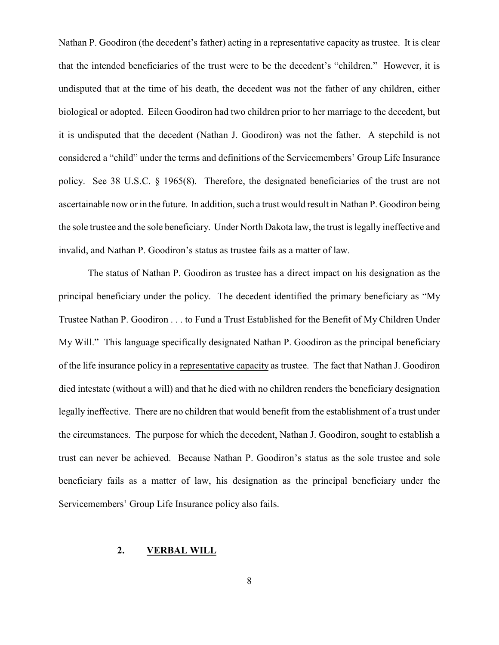Nathan P. Goodiron (the decedent's father) acting in a representative capacity as trustee. It is clear that the intended beneficiaries of the trust were to be the decedent's "children." However, it is undisputed that at the time of his death, the decedent was not the father of any children, either biological or adopted. Eileen Goodiron had two children prior to her marriage to the decedent, but it is undisputed that the decedent (Nathan J. Goodiron) was not the father. A stepchild is not considered a "child" under the terms and definitions of the Servicemembers' Group Life Insurance policy. See 38 U.S.C. § 1965(8). Therefore, the designated beneficiaries of the trust are not ascertainable now or in the future. In addition, such a trust would result in Nathan P. Goodiron being the sole trustee and the sole beneficiary. Under North Dakota law, the trust is legally ineffective and invalid, and Nathan P. Goodiron's status as trustee fails as a matter of law.

The status of Nathan P. Goodiron as trustee has a direct impact on his designation as the principal beneficiary under the policy. The decedent identified the primary beneficiary as "My Trustee Nathan P. Goodiron . . . to Fund a Trust Established for the Benefit of My Children Under My Will." This language specifically designated Nathan P. Goodiron as the principal beneficiary of the life insurance policy in a representative capacity as trustee. The fact that Nathan J. Goodiron died intestate (without a will) and that he died with no children renders the beneficiary designation legally ineffective. There are no children that would benefit from the establishment of a trust under the circumstances. The purpose for which the decedent, Nathan J. Goodiron, sought to establish a trust can never be achieved. Because Nathan P. Goodiron's status as the sole trustee and sole beneficiary fails as a matter of law, his designation as the principal beneficiary under the Servicemembers' Group Life Insurance policy also fails.

## **2. VERBAL WILL**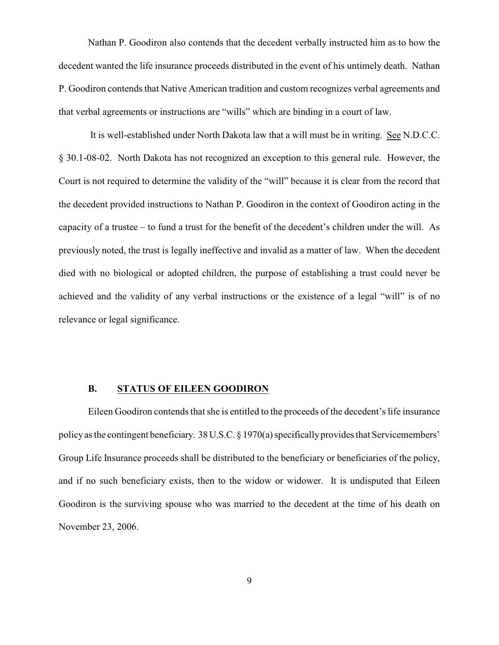Nathan P. Goodiron also contends that the decedent verbally instructed him as to how the decedent wanted the life insurance proceeds distributed in the event of his untimely death. Nathan P. Goodiron contends that Native American tradition and custom recognizes verbal agreements and that verbal agreements or instructions are "wills" which are binding in a court of law.

It is well-established under North Dakota law that a will must be in writing. See N.D.C.C. § 30.1-08-02. North Dakota has not recognized an exception to this general rule. However, the Court is not required to determine the validity of the "will" because it is clear from the record that the decedent provided instructions to Nathan P. Goodiron in the context of Goodiron acting in the capacity of a trustee – to fund a trust for the benefit of the decedent's children under the will. As previously noted, the trust is legally ineffective and invalid as a matter of law. When the decedent died with no biological or adopted children, the purpose of establishing a trust could never be achieved and the validity of any verbal instructions or the existence of a legal "will" is of no relevance or legal significance.

#### **B. STATUS OF EILEEN GOODIRON**

Eileen Goodiron contends that she is entitled to the proceeds of the decedent's life insurance policy as the contingent beneficiary. 38 U.S.C. § 1970(a) specifically provides that Servicemembers' Group Life Insurance proceeds shall be distributed to the beneficiary or beneficiaries of the policy, and if no such beneficiary exists, then to the widow or widower. It is undisputed that Eileen Goodiron is the surviving spouse who was married to the decedent at the time of his death on November 23, 2006.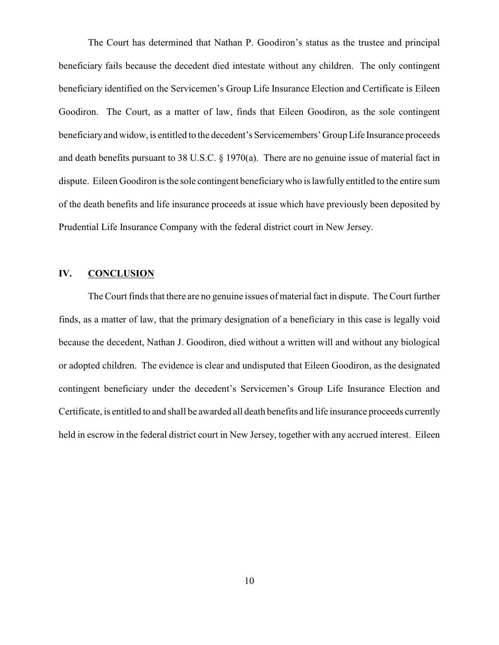The Court has determined that Nathan P. Goodiron's status as the trustee and principal beneficiary fails because the decedent died intestate without any children. The only contingent beneficiary identified on the Servicemen's Group Life Insurance Election and Certificate is Eileen Goodiron. The Court, as a matter of law, finds that Eileen Goodiron, as the sole contingent beneficiary and widow, is entitled to the decedent's Servicemembers' Group Life Insurance proceeds and death benefits pursuant to 38 U.S.C. § 1970(a). There are no genuine issue of material fact in dispute. Eileen Goodiron is the sole contingent beneficiary who is lawfully entitled to the entire sum of the death benefits and life insurance proceeds at issue which have previously been deposited by Prudential Life Insurance Company with the federal district court in New Jersey.

# **IV. CONCLUSION**

The Court finds that there are no genuine issues of material fact in dispute. The Court further finds, as a matter of law, that the primary designation of a beneficiary in this case is legally void because the decedent, Nathan J. Goodiron, died without a written will and without any biological or adopted children. The evidence is clear and undisputed that Eileen Goodiron, as the designated contingent beneficiary under the decedent's Servicemen's Group Life Insurance Election and Certificate, is entitled to and shall be awarded all death benefits and life insurance proceeds currently held in escrow in the federal district court in New Jersey, together with any accrued interest. Eileen